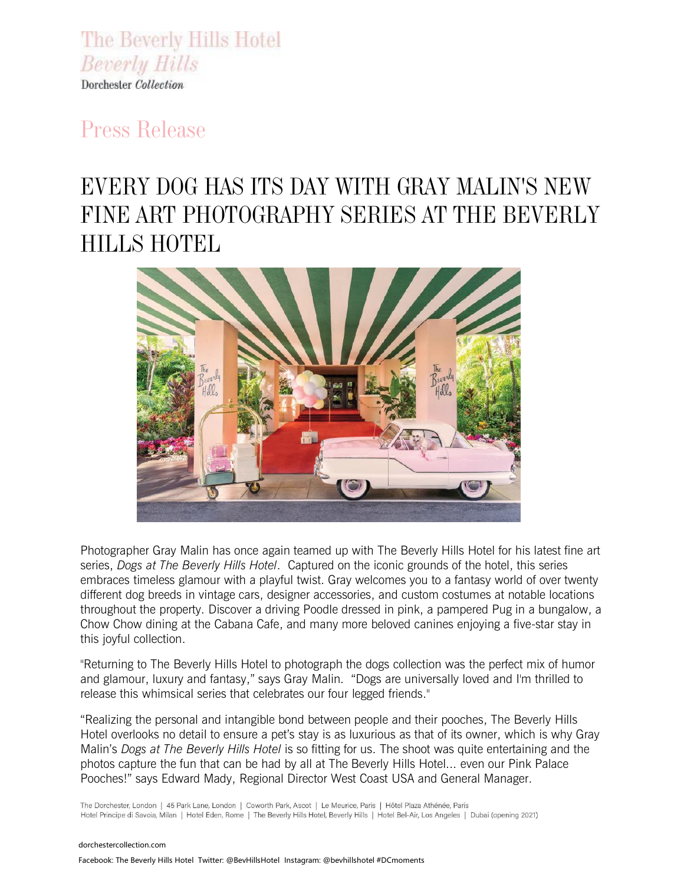The Beverly Hills Hotel **Beverly Hills** Dorchester Collection

## *Press Release*

# *EVERY DOG HAS ITS DAY WITH GRAY MALIN'S NEW FINE ART PHOTOGRAPHY SERIES AT THE BEVERLY HILLS HOTEL*



Photographer Gray Malin has once again teamed up with The Beverly Hills Hotel for his latest fine art series, *Dogs at The Beverly Hills Hotel*. Captured on the iconic grounds of the hotel, this series embraces timeless glamour with a playful twist. Gray welcomes you to a fantasy world of over twenty different dog breeds in vintage cars, designer accessories, and custom costumes at notable locations throughout the property. Discover a driving Poodle dressed in pink, a pampered Pug in a bungalow, a Chow Chow dining at the Cabana Cafe, and many more beloved canines enjoying a five-star stay in this joyful collection.

"Returning to The Beverly Hills Hotel to photograph the dogs collection was the perfect mix of humor and glamour, luxury and fantasy," says Gray Malin. "Dogs are universally loved and I'm thrilled to release this whimsical series that celebrates our four legged friends."

"Realizing the personal and intangible bond between people and their pooches, The Beverly Hills Hotel overlooks no detail to ensure a pet's stay is as luxurious as that of its owner, which is why Gray Malin's *Dogs at The Beverly Hills Hotel* is so fitting for us. The shoot was quite entertaining and the photos capture the fun that can be had by all at The Beverly Hills Hotel... even our Pink Palace Pooches!" says Edward Mady, Regional Director West Coast USA and General Manager.

The Dorchester, London | 45 Park Lane, London | Coworth Park, Ascot | Le Meurice, Paris | Hôtel Plaza Athénée, Paris Hotel Principe di Savoia, Milan | Hotel Eden, Rome | The Beverly Hills Hotel, Beverly Hills | Hotel Bel-Air, Los Angeles | Dubai (opening 2021)

dorchestercollection.com Facebook: The Beverly Hills Hotel Twitter: @BevHillsHotelInstagram: @bevhillshotel #DCmoments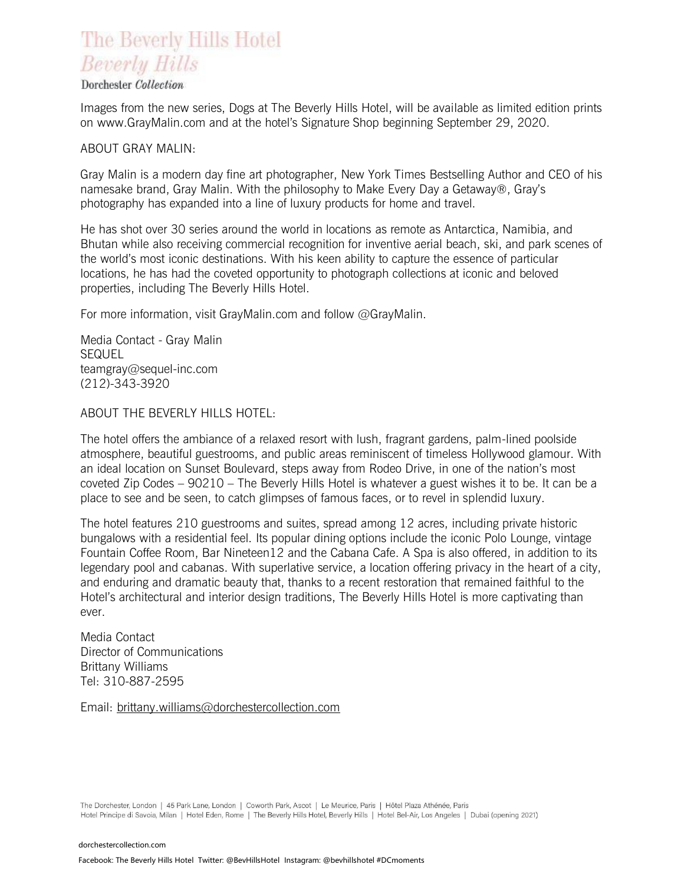### The Beverly Hills Hotel **Beverly Hills**

#### Dorchester Collection

Images from the new series, Dogs at The Beverly Hills Hotel, will be available as limited edition prints on www.GrayMalin.com and at the hotel's Signature Shop beginning September 29, 2020.

#### ABOUT GRAY MALIN:

Gray Malin is a modern day fine art photographer, New York Times Bestselling Author and CEO of his namesake brand, Gray Malin. With the philosophy to Make Every Day a Getaway®, Gray's photography has expanded into a line of luxury products for home and travel.

He has shot over 30 series around the world in locations as remote as Antarctica, Namibia, and Bhutan while also receiving commercial recognition for inventive aerial beach, ski, and park scenes of the world's most iconic destinations. With his keen ability to capture the essence of particular locations, he has had the coveted opportunity to photograph collections at iconic and beloved properties, including The Beverly Hills Hotel.

For more information, visit GrayMalin.com and follow @GrayMalin.

Media Contact - Gray Malin SEQUEL teamgray@sequel-inc.com (212)-343-3920

#### ABOUT THE BEVERLY HILLS HOTEL:

The hotel offers the ambiance of a relaxed resort with lush, fragrant gardens, palm-lined poolside atmosphere, beautiful guestrooms, and public areas reminiscent of timeless Hollywood glamour. With an ideal location on Sunset Boulevard, steps away from Rodeo Drive, in one of the nation's most coveted Zip Codes – 90210 – The Beverly Hills Hotel is whatever a guest wishes it to be. It can be a place to see and be seen, to catch glimpses of famous faces, or to revel in splendid luxury.

The hotel features 210 guestrooms and suites, spread among 12 acres, including private historic bungalows with a residential feel. Its popular dining options include the iconic Polo Lounge, vintage Fountain Coffee Room, Bar Nineteen12 and the Cabana Cafe. A Spa is also offered, in addition to its legendary pool and cabanas. With superlative service, a location offering privacy in the heart of a city, and enduring and dramatic beauty that, thanks to a recent restoration that remained faithful to the Hotel's architectural and interior design traditions, The Beverly Hills Hotel is more captivating than ever.

Media Contact Director of Communications Brittany Williams Tel: 310-887-2595

Email: [brittany.williams@dorchestercollection.com](mailto:brittany.williams@dorchestercollection.com)

The Dorchester, London | 45 Park Lane, London | Coworth Park, Ascot | Le Meurice, Paris | Hôtel Plaza Athénée, Paris Hotel Principe di Savoia, Milan | Hotel Eden, Rome | The Beverly Hills Hotel, Beverly Hills | Hotel Bel-Air, Los Angeles | Dubai (opening 2021)